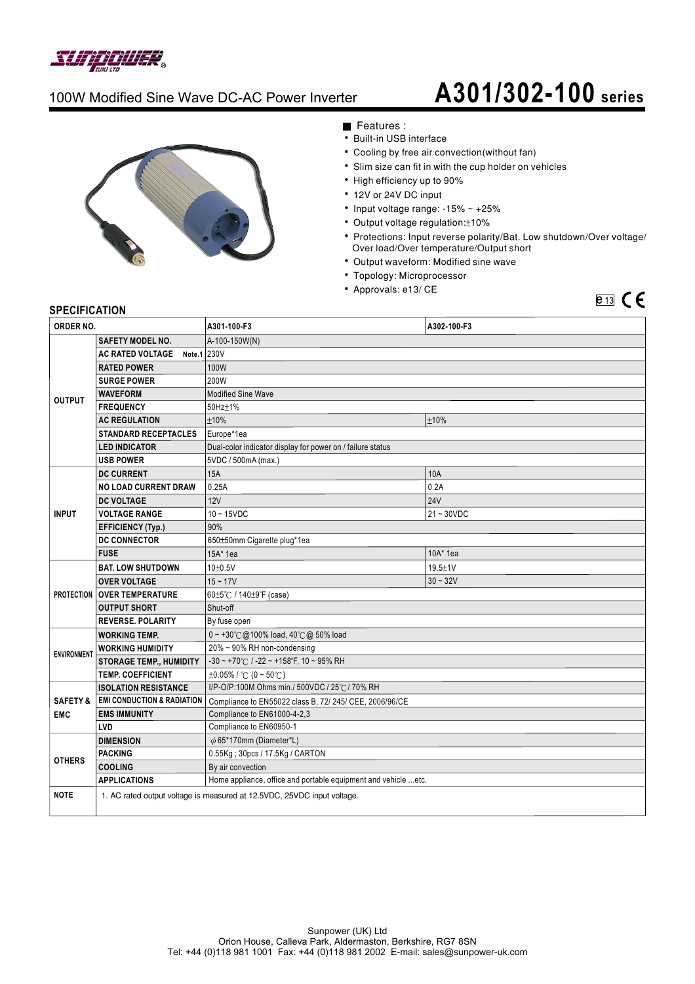

### 100W Modified Sine Wave DC-AC Power Inverter

# 100W Modified Sine Wave DC-AC Power Inverter **A301/302-100 series**



Features :

- Built-in USB interface
- Cooling by free air convection(without fan)
- Slim size can fit in with the cup holder on vehicles
- High efficiency up to 90%
- 12V or 24V DC input
- Input voltage range:  $-15\% \sim +25\%$
- Output voltage regulation: ±10%
- Protections: Input reverse polarity/Bat. Low shutdown/Over voltage/ Over load/Over temperature/Output short
- Output waveform: Modified sine wave
- Topology: Microprocessor
- Approvals: e13/ CE

## $e_{13}$   $C$   $E$

#### **SPECIFICATION**

| ORDER NO.                         |                                                                         | A301-100-F3                                                       | A302-100-F3  |
|-----------------------------------|-------------------------------------------------------------------------|-------------------------------------------------------------------|--------------|
| <b>OUTPUT</b>                     | <b>SAFETY MODEL NO.</b>                                                 | A-100-150W(N)                                                     |              |
|                                   | <b>AC RATED VOLTAGE</b><br>Note.1 $230V$                                |                                                                   |              |
|                                   | <b>RATED POWER</b>                                                      | 100W                                                              |              |
|                                   | <b>SURGE POWER</b>                                                      | 200W                                                              |              |
|                                   | <b>WAVEFORM</b>                                                         | <b>Modified Sine Wave</b>                                         |              |
|                                   | <b>FREQUENCY</b>                                                        | 50Hz±1%                                                           |              |
|                                   | <b>AC REGULATION</b>                                                    | ±10%                                                              | ±10%         |
|                                   | <b>STANDARD RECEPTACLES</b>                                             | Europe*1ea                                                        |              |
|                                   | <b>LED INDICATOR</b>                                                    | Dual-color indicator display for power on / failure status        |              |
|                                   | <b>USB POWER</b>                                                        | 5VDC / 500mA (max.)                                               |              |
| <b>INPUT</b>                      | <b>DC CURRENT</b>                                                       | 15A                                                               | 10A          |
|                                   | <b>NO LOAD CURRENT DRAW</b>                                             | 0.25A                                                             | 0.2A         |
|                                   | <b>DC VOLTAGE</b>                                                       | 12V                                                               | <b>24V</b>   |
|                                   | <b>VOLTAGE RANGE</b>                                                    | $10 - 15$ VDC                                                     | $21 - 30VDC$ |
|                                   | <b>EFFICIENCY (Typ.)</b>                                                | 90%                                                               |              |
|                                   | <b>DC CONNECTOR</b>                                                     | 650±50mm Cigarette plug*1ea                                       |              |
|                                   | <b>FUSE</b>                                                             | 15A* 1ea                                                          | 10A* 1ea     |
|                                   | <b>BAT. LOW SHUTDOWN</b>                                                | 10±0.5V                                                           | 19.5±1V      |
|                                   | <b>OVER VOLTAGE</b>                                                     | $15 - 17V$                                                        | $30 - 32V$   |
|                                   | <b>PROTECTION   OVER TEMPERATURE</b>                                    | 60±5℃ / 140±9°F (case)                                            |              |
|                                   | <b>OUTPUT SHORT</b>                                                     | Shut-off                                                          |              |
|                                   | <b>REVERSE, POLARITY</b>                                                | By fuse open                                                      |              |
| <b>ENVIRONMENT</b>                | <b>WORKING TEMP.</b>                                                    | 0~+30℃@100% load, 40℃@ 50% load                                   |              |
|                                   | <b>WORKING HUMIDITY</b>                                                 | 20% ~ 90% RH non-condensing                                       |              |
|                                   | <b>STORAGE TEMP., HUMIDITY</b>                                          | $-30 \sim +70^{\circ}$ C / $-22 \sim +158^{\circ}$ F, 10 ~ 95% RH |              |
|                                   | <b>TEMP. COEFFICIENT</b>                                                | $\pm 0.05\%$ / °C (0 ~ 50°C)                                      |              |
|                                   | <b>ISOLATION RESISTANCE</b>                                             | I/P-O/P:100M Ohms min./ 500VDC / 25°C / 70% RH                    |              |
| <b>SAFETY &amp;</b><br><b>EMC</b> | <b>EMI CONDUCTION &amp; RADIATION</b>                                   | Compliance to EN55022 class B, 72/ 245/ CEE, 2006/96/CE           |              |
|                                   | <b>EMS IMMUNITY</b>                                                     | Compliance to EN61000-4-2,3                                       |              |
|                                   | LVD                                                                     | Compliance to EN60950-1                                           |              |
| <b>OTHERS</b>                     | <b>DIMENSION</b>                                                        | $\phi$ 65*170mm (Diameter*L)                                      |              |
|                                   | <b>PACKING</b>                                                          | 0.55Kg; 30pcs / 17.5Kg / CARTON                                   |              |
|                                   | <b>COOLING</b>                                                          | By air convection                                                 |              |
|                                   | <b>APPLICATIONS</b>                                                     | Home appliance, office and portable equipment and vehicle etc.    |              |
| <b>NOTE</b>                       | 1. AC rated output voltage is measured at 12.5VDC, 25VDC input voltage. |                                                                   |              |